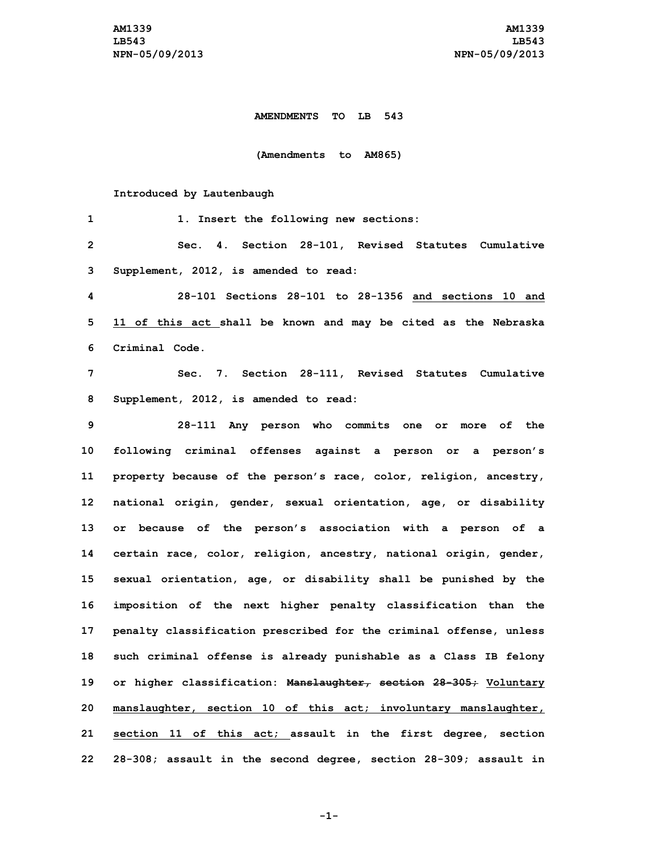## **AMENDMENTS TO LB 543**

**(Amendments to AM865)**

## **Introduced by Lautenbaugh**

| 1              | 1. Insert the following new sections:                              |
|----------------|--------------------------------------------------------------------|
| $\overline{2}$ | Sec. 4. Section 28-101, Revised Statutes Cumulative                |
| 3              | Supplement, 2012, is amended to read:                              |
| 4              | 28-101 Sections 28-101 to 28-1356 and sections 10 and              |
| 5              | 11 of this act shall be known and may be cited as the Nebraska     |
| 6              | Criminal Code.                                                     |
| 7              | Sec. 7. Section 28-111, Revised Statutes Cumulative                |
| 8              | Supplement, 2012, is amended to read:                              |
| 9              | 28-111 Any person who commits one or more of the                   |
| 10             | following criminal offenses against a person or a person's         |
| 11             | property because of the person's race, color, religion, ancestry,  |
| 12             | national origin, gender, sexual orientation, age, or disability    |
| 13             | or because of the person's association with a person of a          |
| 14             | certain race, color, religion, ancestry, national origin, gender,  |
| 15             | sexual orientation, age, or disability shall be punished by the    |
| 16             | imposition of the next higher penalty classification than the      |
| 17             | penalty classification prescribed for the criminal offense, unless |
| 18             | such criminal offense is already punishable as a Class IB felony   |
| 19             | or higher classification: Manslaughter, section 28-305; Voluntary  |
| 20             | manslaughter, section 10 of this act; involuntary manslaughter,    |
| 21             | section 11 of this act; assault in the first degree, section       |
| 22             | 28-308; assault in the second degree, section 28-309; assault in   |

**-1-**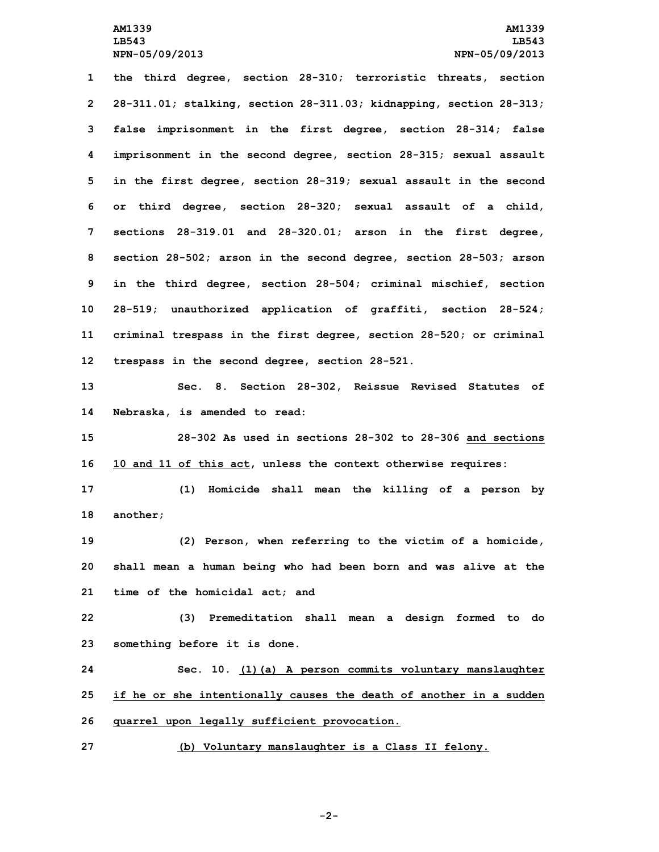**the third degree, section 28-310; terroristic threats, section 28-311.01; stalking, section 28-311.03; kidnapping, section 28-313; false imprisonment in the first degree, section 28-314; false imprisonment in the second degree, section 28-315; sexual assault in the first degree, section 28-319; sexual assault in the second or third degree, section 28-320; sexual assault of <sup>a</sup> child, sections 28-319.01 and 28-320.01; arson in the first degree, section 28-502; arson in the second degree, section 28-503; arson in the third degree, section 28-504; criminal mischief, section 28-519; unauthorized application of graffiti, section 28-524; criminal trespass in the first degree, section 28-520; or criminal trespass in the second degree, section 28-521. Sec. 8. Section 28-302, Reissue Revised Statutes of**

**14 Nebraska, is amended to read:**

**15 28-302 As used in sections 28-302 to 28-306 and sections 16 10 and 11 of this act, unless the context otherwise requires:**

**17 (1) Homicide shall mean the killing of <sup>a</sup> person by 18 another;**

**19 (2) Person, when referring to the victim of <sup>a</sup> homicide, 20 shall mean <sup>a</sup> human being who had been born and was alive at the 21 time of the homicidal act; and**

**22 (3) Premeditation shall mean <sup>a</sup> design formed to do 23 something before it is done.**

**24 Sec. 10. (1)(a) <sup>A</sup> person commits voluntary manslaughter 25 if he or she intentionally causes the death of another in <sup>a</sup> sudden 26 quarrel upon legally sufficient provocation.**

**27 (b) Voluntary manslaughter is <sup>a</sup> Class II felony.**

**-2-**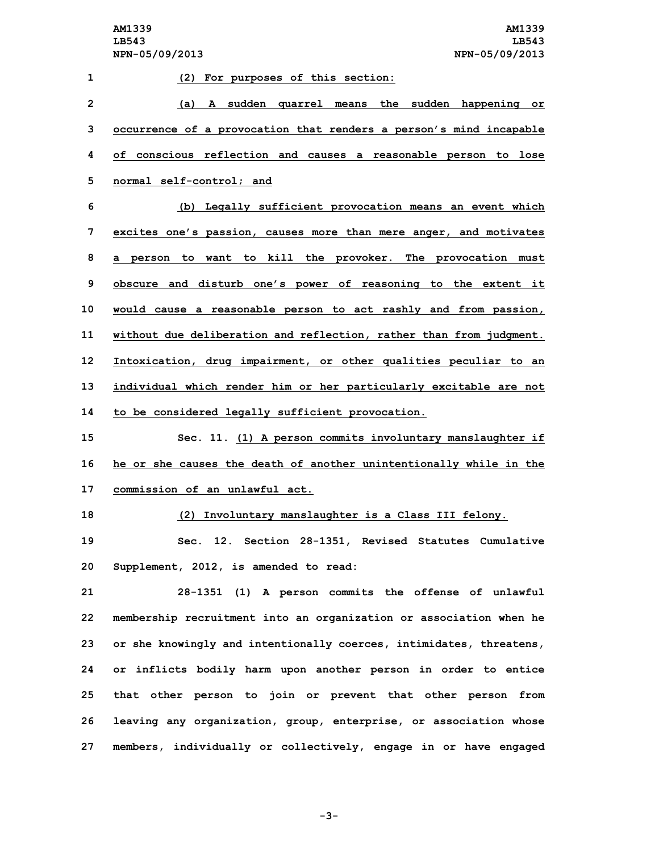| 1              | (2) For purposes of this section:                                   |
|----------------|---------------------------------------------------------------------|
| $\overline{2}$ | (a) A sudden quarrel means the sudden happening or                  |
| 3              | occurrence of a provocation that renders a person's mind incapable  |
| 4              | of conscious reflection and causes a reasonable person to lose      |
| 5              | normal self-control; and                                            |
| 6              | (b) Legally sufficient provocation means an event which             |
| 7              | excites one's passion, causes more than mere anger, and motivates   |
| 8              | a person to want to kill the provoker. The provocation must         |
| 9              | obscure and disturb one's power of reasoning to the extent it       |
| 10             | would cause a reasonable person to act rashly and from passion,     |
| 11             | without due deliberation and reflection, rather than from judgment. |
| 12             | Intoxication, drug impairment, or other qualities peculiar to an    |
| 13             | individual which render him or her particularly excitable are not   |
| 14             | to be considered legally sufficient provocation.                    |
| 15             | Sec. 11. (1) A person commits involuntary manslaughter if           |
| 16             | he or she causes the death of another unintentionally while in the  |
| 17             | commission of an unlawful act.                                      |
| 18             | (2) Involuntary manslaughter is a Class III felony.                 |
| 19             | Sec. 12. Section 28-1351, Revised Statutes Cumulative               |
| 20             | Supplement, 2012, is amended to read:                               |
| 21             | 28-1351 (1) A person commits the offense of unlawful                |

 **membership recruitment into an organization or association when he or she knowingly and intentionally coerces, intimidates, threatens, or inflicts bodily harm upon another person in order to entice that other person to join or prevent that other person from leaving any organization, group, enterprise, or association whose members, individually or collectively, engage in or have engaged**

**-3-**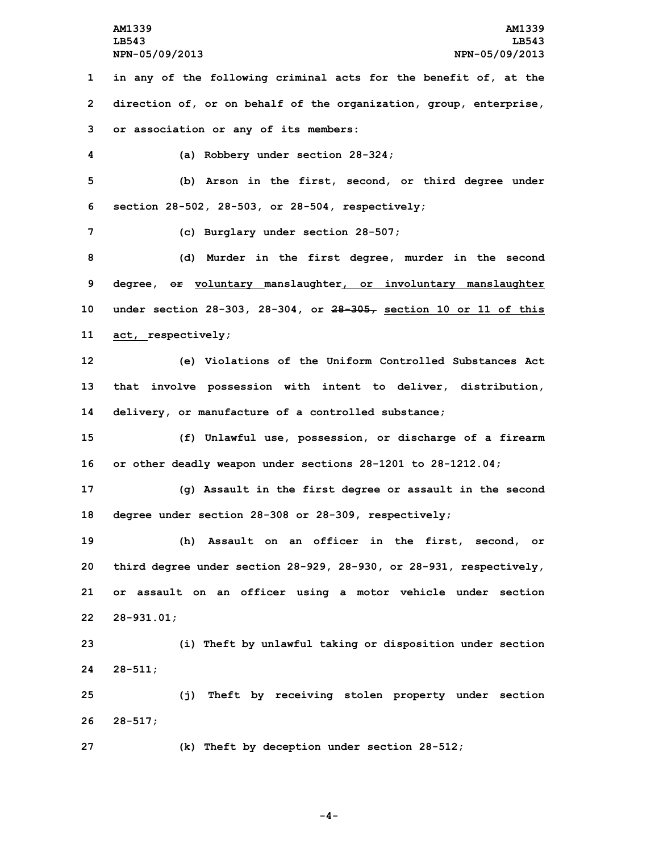**1 in any of the following criminal acts for the benefit of, at the 2 direction of, or on behalf of the organization, group, enterprise, 3 or association or any of its members:**

**4 (a) Robbery under section 28-324;**

**5 (b) Arson in the first, second, or third degree under 6 section 28-502, 28-503, or 28-504, respectively;**

**7 (c) Burglary under section 28-507;**

 **(d) Murder in the first degree, murder in the second degree, or voluntary manslaughter, or involuntary manslaughter under section 28-303, 28-304, or 28-305, section 10 or 11 of this act, respectively;**

**12 (e) Violations of the Uniform Controlled Substances Act 13 that involve possession with intent to deliver, distribution, 14 delivery, or manufacture of <sup>a</sup> controlled substance;**

**15 (f) Unlawful use, possession, or discharge of <sup>a</sup> firearm 16 or other deadly weapon under sections 28-1201 to 28-1212.04;**

**17 (g) Assault in the first degree or assault in the second 18 degree under section 28-308 or 28-309, respectively;**

 **(h) Assault on an officer in the first, second, or third degree under section 28-929, 28-930, or 28-931, respectively, or assault on an officer using <sup>a</sup> motor vehicle under section 28-931.01;**

**23 (i) Theft by unlawful taking or disposition under section 24 28-511;**

**25 (j) Theft by receiving stolen property under section 26 28-517;**

**27 (k) Theft by deception under section 28-512;**

**-4-**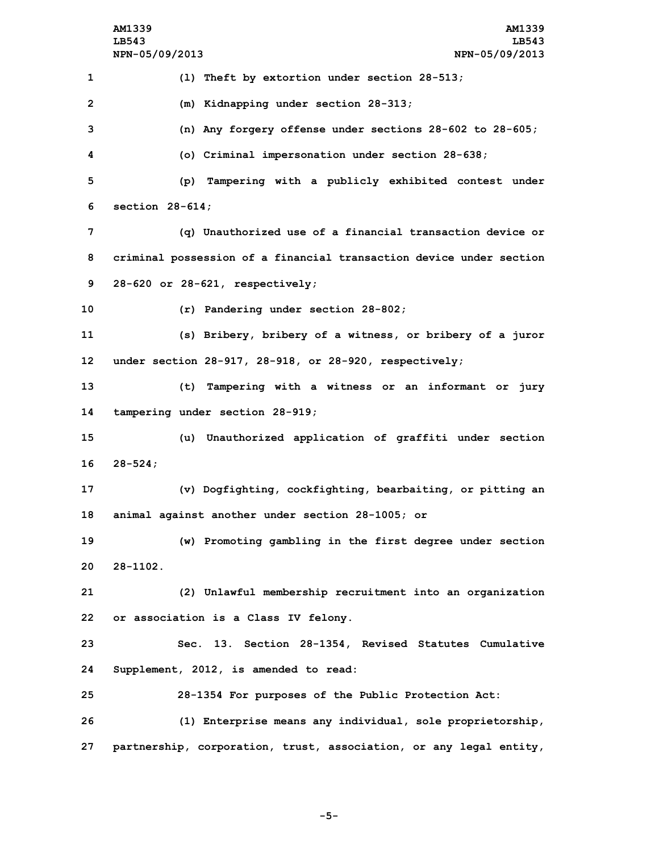**AM1339 AM1339 LB543 LB543 NPN-05/09/2013 NPN-05/09/2013 (l) Theft by extortion under section 28-513; (m) Kidnapping under section 28-313; (n) Any forgery offense under sections 28-602 to 28-605; (o) Criminal impersonation under section 28-638; (p) Tampering with <sup>a</sup> publicly exhibited contest under section 28-614; (q) Unauthorized use of <sup>a</sup> financial transaction device or criminal possession of <sup>a</sup> financial transaction device under section 28-620 or 28-621, respectively; (r) Pandering under section 28-802; (s) Bribery, bribery of <sup>a</sup> witness, or bribery of <sup>a</sup> juror under section 28-917, 28-918, or 28-920, respectively; (t) Tampering with <sup>a</sup> witness or an informant or jury tampering under section 28-919; (u) Unauthorized application of graffiti under section 16 28-524; (v) Dogfighting, cockfighting, bearbaiting, or pitting an animal against another under section 28-1005; or (w) Promoting gambling in the first degree under section 20 28-1102. (2) Unlawful membership recruitment into an organization or association is <sup>a</sup> Class IV felony. Sec. 13. Section 28-1354, Revised Statutes Cumulative Supplement, 2012, is amended to read: 28-1354 For purposes of the Public Protection Act: (1) Enterprise means any individual, sole proprietorship, partnership, corporation, trust, association, or any legal entity,**

**-5-**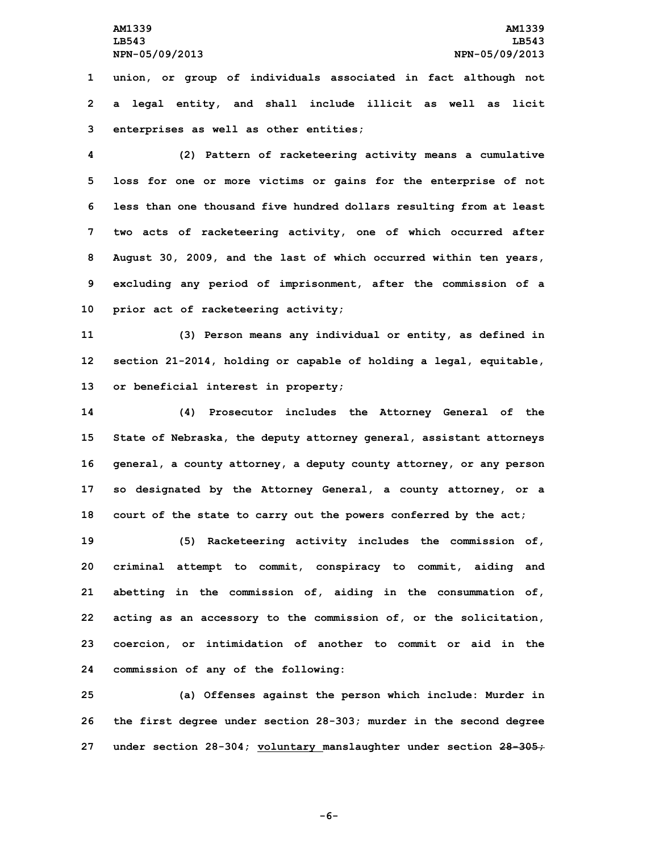**1 union, or group of individuals associated in fact although not 2 <sup>a</sup> legal entity, and shall include illicit as well as licit 3 enterprises as well as other entities;**

 **(2) Pattern of racketeering activity means <sup>a</sup> cumulative loss for one or more victims or gains for the enterprise of not less than one thousand five hundred dollars resulting from at least two acts of racketeering activity, one of which occurred after August 30, 2009, and the last of which occurred within ten years, excluding any period of imprisonment, after the commission of <sup>a</sup> prior act of racketeering activity;**

**11 (3) Person means any individual or entity, as defined in 12 section 21-2014, holding or capable of holding <sup>a</sup> legal, equitable, 13 or beneficial interest in property;**

 **(4) Prosecutor includes the Attorney General of the State of Nebraska, the deputy attorney general, assistant attorneys general, <sup>a</sup> county attorney, <sup>a</sup> deputy county attorney, or any person so designated by the Attorney General, <sup>a</sup> county attorney, or <sup>a</sup> court of the state to carry out the powers conferred by the act;**

 **(5) Racketeering activity includes the commission of, criminal attempt to commit, conspiracy to commit, aiding and abetting in the commission of, aiding in the consummation of, acting as an accessory to the commission of, or the solicitation, coercion, or intimidation of another to commit or aid in the commission of any of the following:**

**25 (a) Offenses against the person which include: Murder in 26 the first degree under section 28-303; murder in the second degree 27 under section 28-304; voluntary manslaughter under section 28-305;**

**-6-**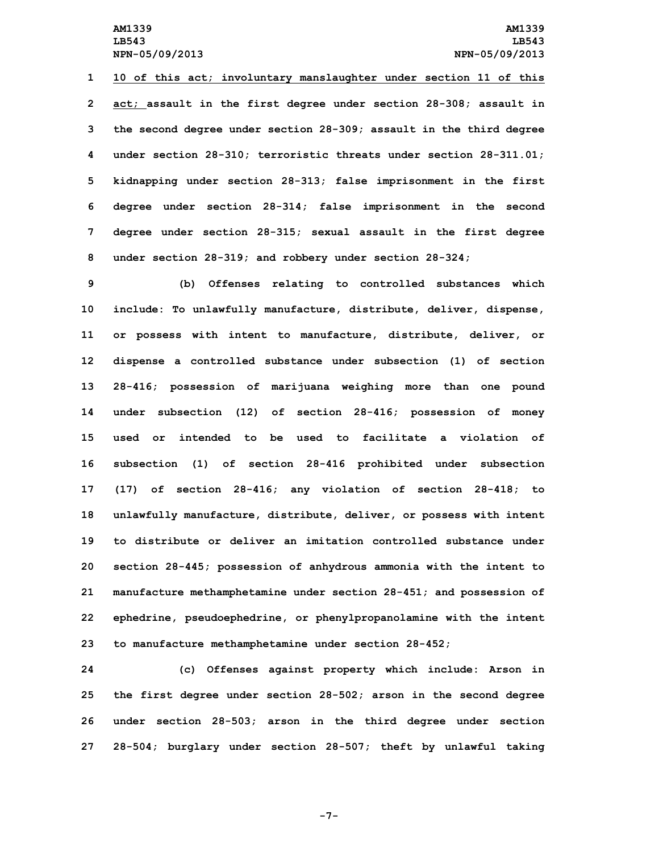**10 of this act; involuntary manslaughter under section 11 of this act; assault in the first degree under section 28-308; assault in the second degree under section 28-309; assault in the third degree under section 28-310; terroristic threats under section 28-311.01; kidnapping under section 28-313; false imprisonment in the first degree under section 28-314; false imprisonment in the second degree under section 28-315; sexual assault in the first degree under section 28-319; and robbery under section 28-324;**

 **(b) Offenses relating to controlled substances which include: To unlawfully manufacture, distribute, deliver, dispense, or possess with intent to manufacture, distribute, deliver, or dispense <sup>a</sup> controlled substance under subsection (1) of section 28-416; possession of marijuana weighing more than one pound under subsection (12) of section 28-416; possession of money used or intended to be used to facilitate a violation of subsection (1) of section 28-416 prohibited under subsection (17) of section 28-416; any violation of section 28-418; to unlawfully manufacture, distribute, deliver, or possess with intent to distribute or deliver an imitation controlled substance under section 28-445; possession of anhydrous ammonia with the intent to manufacture methamphetamine under section 28-451; and possession of ephedrine, pseudoephedrine, or phenylpropanolamine with the intent to manufacture methamphetamine under section 28-452;**

 **(c) Offenses against property which include: Arson in the first degree under section 28-502; arson in the second degree under section 28-503; arson in the third degree under section 28-504; burglary under section 28-507; theft by unlawful taking**

**-7-**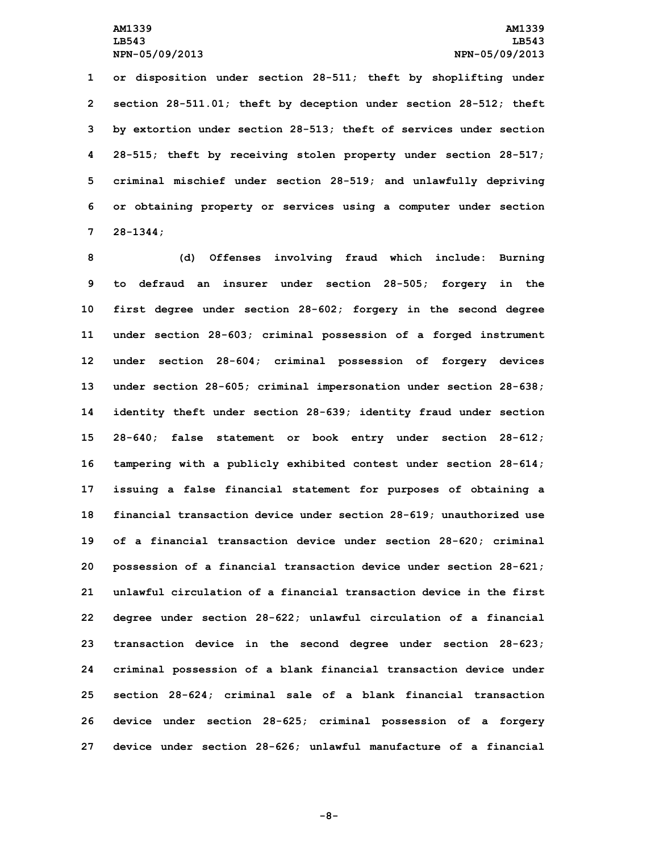**or disposition under section 28-511; theft by shoplifting under section 28-511.01; theft by deception under section 28-512; theft by extortion under section 28-513; theft of services under section 28-515; theft by receiving stolen property under section 28-517; criminal mischief under section 28-519; and unlawfully depriving or obtaining property or services using <sup>a</sup> computer under section 7 28-1344;**

 **(d) Offenses involving fraud which include: Burning to defraud an insurer under section 28-505; forgery in the first degree under section 28-602; forgery in the second degree under section 28-603; criminal possession of <sup>a</sup> forged instrument under section 28-604; criminal possession of forgery devices under section 28-605; criminal impersonation under section 28-638; identity theft under section 28-639; identity fraud under section 28-640; false statement or book entry under section 28-612; tampering with <sup>a</sup> publicly exhibited contest under section 28-614; issuing <sup>a</sup> false financial statement for purposes of obtaining <sup>a</sup> financial transaction device under section 28-619; unauthorized use of <sup>a</sup> financial transaction device under section 28-620; criminal possession of <sup>a</sup> financial transaction device under section 28-621; unlawful circulation of a financial transaction device in the first degree under section 28-622; unlawful circulation of <sup>a</sup> financial transaction device in the second degree under section 28-623; criminal possession of <sup>a</sup> blank financial transaction device under section 28-624; criminal sale of <sup>a</sup> blank financial transaction device under section 28-625; criminal possession of <sup>a</sup> forgery device under section 28-626; unlawful manufacture of <sup>a</sup> financial**

**-8-**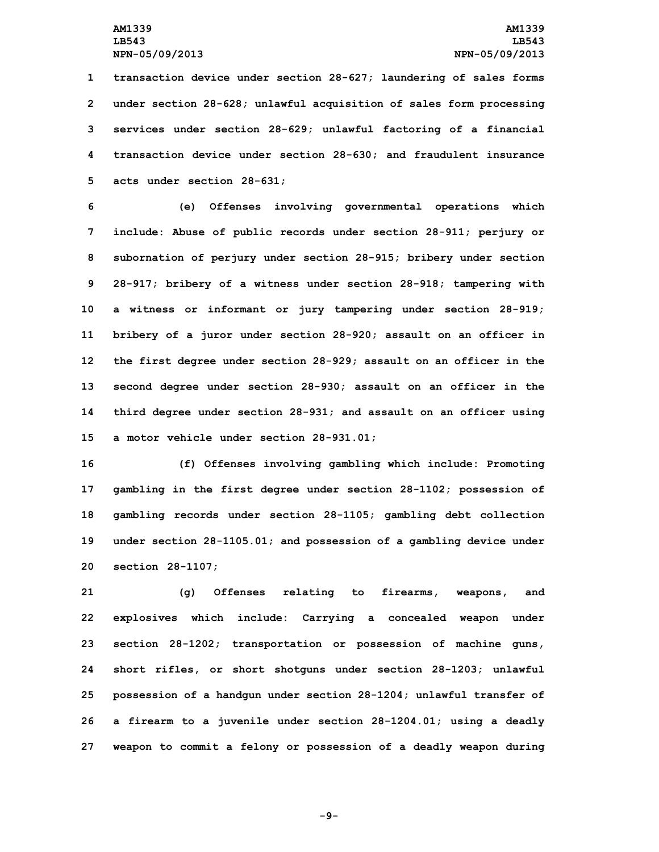**transaction device under section 28-627; laundering of sales forms under section 28-628; unlawful acquisition of sales form processing services under section 28-629; unlawful factoring of <sup>a</sup> financial transaction device under section 28-630; and fraudulent insurance acts under section 28-631;**

 **(e) Offenses involving governmental operations which include: Abuse of public records under section 28-911; perjury or subornation of perjury under section 28-915; bribery under section 28-917; bribery of <sup>a</sup> witness under section 28-918; tampering with <sup>a</sup> witness or informant or jury tampering under section 28-919; bribery of <sup>a</sup> juror under section 28-920; assault on an officer in the first degree under section 28-929; assault on an officer in the second degree under section 28-930; assault on an officer in the third degree under section 28-931; and assault on an officer using <sup>a</sup> motor vehicle under section 28-931.01;**

 **(f) Offenses involving gambling which include: Promoting gambling in the first degree under section 28-1102; possession of gambling records under section 28-1105; gambling debt collection under section 28-1105.01; and possession of <sup>a</sup> gambling device under section 28-1107;**

 **(g) Offenses relating to firearms, weapons, and explosives which include: Carrying <sup>a</sup> concealed weapon under section 28-1202; transportation or possession of machine guns, short rifles, or short shotguns under section 28-1203; unlawful possession of <sup>a</sup> handgun under section 28-1204; unlawful transfer of <sup>a</sup> firearm to <sup>a</sup> juvenile under section 28-1204.01; using <sup>a</sup> deadly weapon to commit <sup>a</sup> felony or possession of <sup>a</sup> deadly weapon during**

**-9-**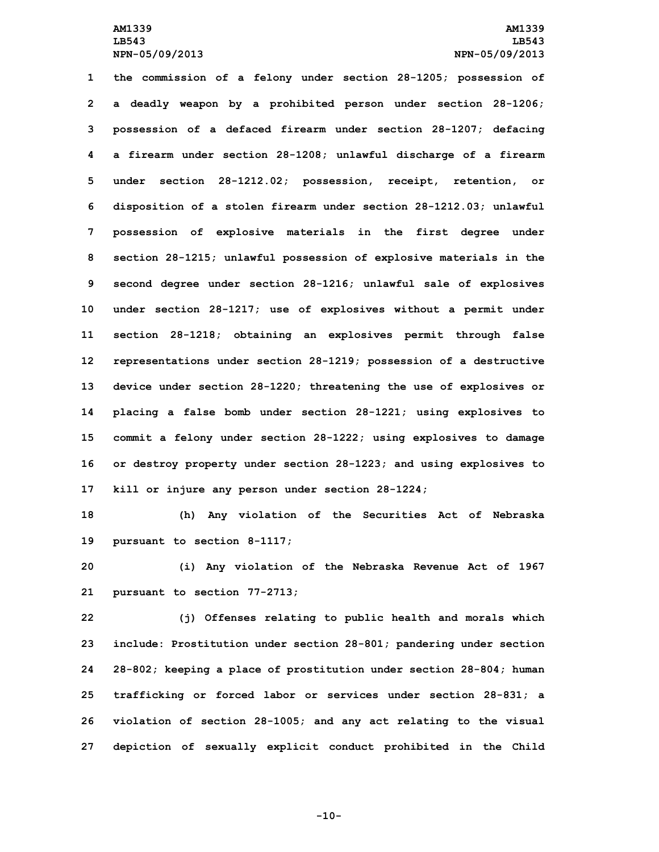**the commission of <sup>a</sup> felony under section 28-1205; possession of <sup>a</sup> deadly weapon by <sup>a</sup> prohibited person under section 28-1206; possession of <sup>a</sup> defaced firearm under section 28-1207; defacing <sup>a</sup> firearm under section 28-1208; unlawful discharge of <sup>a</sup> firearm under section 28-1212.02; possession, receipt, retention, or disposition of <sup>a</sup> stolen firearm under section 28-1212.03; unlawful possession of explosive materials in the first degree under section 28-1215; unlawful possession of explosive materials in the second degree under section 28-1216; unlawful sale of explosives under section 28-1217; use of explosives without <sup>a</sup> permit under section 28-1218; obtaining an explosives permit through false representations under section 28-1219; possession of <sup>a</sup> destructive device under section 28-1220; threatening the use of explosives or placing <sup>a</sup> false bomb under section 28-1221; using explosives to commit <sup>a</sup> felony under section 28-1222; using explosives to damage or destroy property under section 28-1223; and using explosives to kill or injure any person under section 28-1224;**

**18 (h) Any violation of the Securities Act of Nebraska 19 pursuant to section 8-1117;**

**20 (i) Any violation of the Nebraska Revenue Act of 1967 21 pursuant to section 77-2713;**

 **(j) Offenses relating to public health and morals which include: Prostitution under section 28-801; pandering under section 28-802; keeping <sup>a</sup> place of prostitution under section 28-804; human trafficking or forced labor or services under section 28-831; <sup>a</sup> violation of section 28-1005; and any act relating to the visual depiction of sexually explicit conduct prohibited in the Child**

**-10-**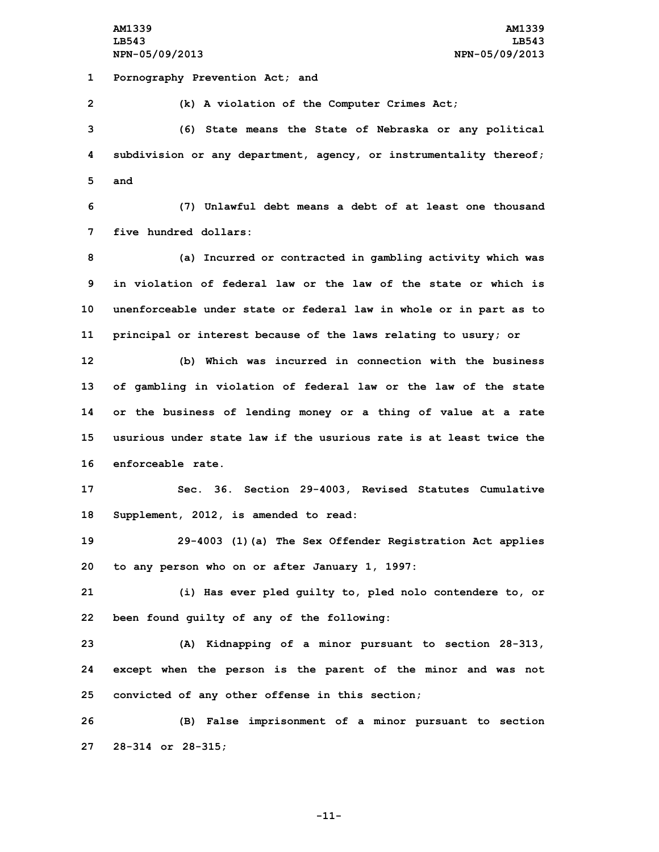**AM1339 AM1339 LB543 LB543 NPN-05/09/2013 NPN-05/09/2013**

**1 Pornography Prevention Act; and**

**2 (k) <sup>A</sup> violation of the Computer Crimes Act;**

**3 (6) State means the State of Nebraska or any political 4 subdivision or any department, agency, or instrumentality thereof; 5 and**

**6 (7) Unlawful debt means <sup>a</sup> debt of at least one thousand 7 five hundred dollars:**

 **(a) Incurred or contracted in gambling activity which was in violation of federal law or the law of the state or which is unenforceable under state or federal law in whole or in part as to principal or interest because of the laws relating to usury; or**

 **(b) Which was incurred in connection with the business of gambling in violation of federal law or the law of the state or the business of lending money or <sup>a</sup> thing of value at <sup>a</sup> rate usurious under state law if the usurious rate is at least twice the enforceable rate.**

**17 Sec. 36. Section 29-4003, Revised Statutes Cumulative 18 Supplement, 2012, is amended to read:**

**19 29-4003 (1)(a) The Sex Offender Registration Act applies 20 to any person who on or after January 1, 1997:**

**21 (i) Has ever pled guilty to, pled nolo contendere to, or 22 been found guilty of any of the following:**

**23 (A) Kidnapping of <sup>a</sup> minor pursuant to section 28-313, 24 except when the person is the parent of the minor and was not 25 convicted of any other offense in this section;**

**26 (B) False imprisonment of <sup>a</sup> minor pursuant to section 27 28-314 or 28-315;**

**-11-**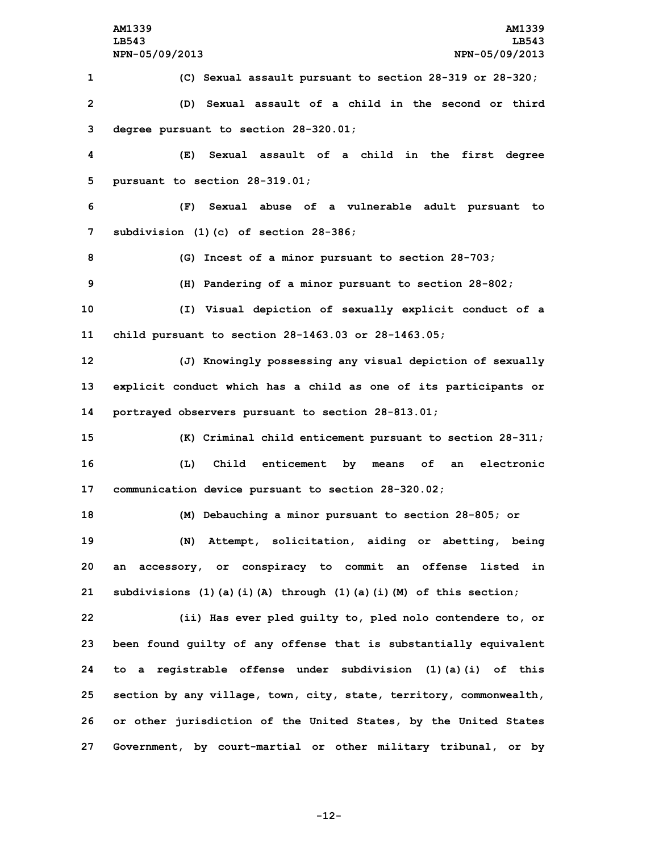**(C) Sexual assault pursuant to section 28-319 or 28-320; (D) Sexual assault of <sup>a</sup> child in the second or third degree pursuant to section 28-320.01; (E) Sexual assault of <sup>a</sup> child in the first degree pursuant to section 28-319.01; (F) Sexual abuse of <sup>a</sup> vulnerable adult pursuant to subdivision (1)(c) of section 28-386; (G) Incest of <sup>a</sup> minor pursuant to section 28-703; (H) Pandering of <sup>a</sup> minor pursuant to section 28-802; (I) Visual depiction of sexually explicit conduct of <sup>a</sup> child pursuant to section 28-1463.03 or 28-1463.05; (J) Knowingly possessing any visual depiction of sexually explicit conduct which has <sup>a</sup> child as one of its participants or portrayed observers pursuant to section 28-813.01; (K) Criminal child enticement pursuant to section 28-311; (L) Child enticement by means of an electronic communication device pursuant to section 28-320.02; (M) Debauching <sup>a</sup> minor pursuant to section 28-805; or (N) Attempt, solicitation, aiding or abetting, being an accessory, or conspiracy to commit an offense listed in subdivisions (1)(a)(i)(A) through (1)(a)(i)(M) of this section; (ii) Has ever pled guilty to, pled nolo contendere to, or been found guilty of any offense that is substantially equivalent to <sup>a</sup> registrable offense under subdivision (1)(a)(i) of this section by any village, town, city, state, territory, commonwealth, or other jurisdiction of the United States, by the United States**

**-12-**

**27 Government, by court-martial or other military tribunal, or by**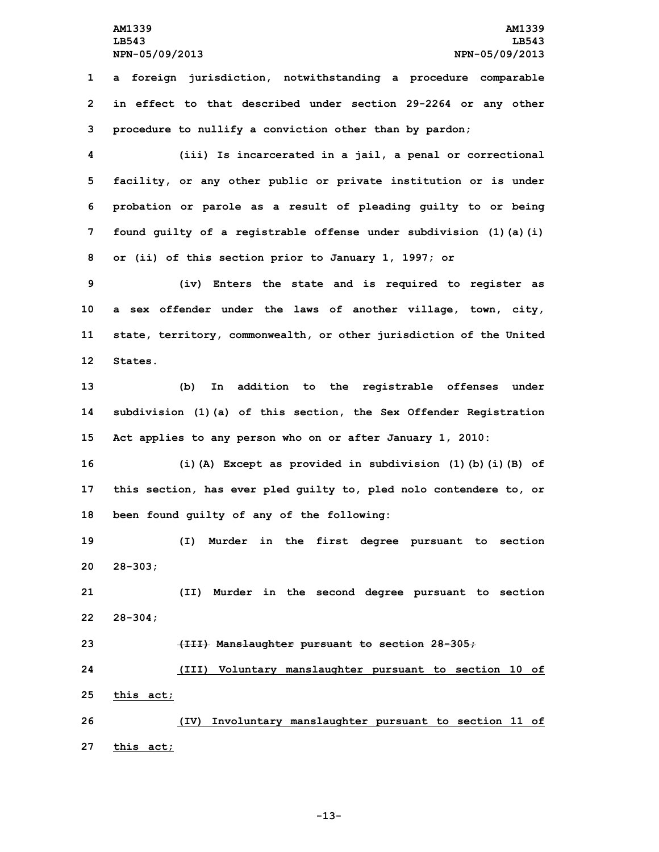**1 <sup>a</sup> foreign jurisdiction, notwithstanding <sup>a</sup> procedure comparable 2 in effect to that described under section 29-2264 or any other 3 procedure to nullify <sup>a</sup> conviction other than by pardon;**

 **(iii) Is incarcerated in <sup>a</sup> jail, <sup>a</sup> penal or correctional facility, or any other public or private institution or is under probation or parole as <sup>a</sup> result of pleading guilty to or being found guilty of <sup>a</sup> registrable offense under subdivision (1)(a)(i) or (ii) of this section prior to January 1, 1997; or**

 **(iv) Enters the state and is required to register as <sup>a</sup> sex offender under the laws of another village, town, city, state, territory, commonwealth, or other jurisdiction of the United 12 States.**

**13 (b) In addition to the registrable offenses under 14 subdivision (1)(a) of this section, the Sex Offender Registration 15 Act applies to any person who on or after January 1, 2010:**

**16 (i)(A) Except as provided in subdivision (1)(b)(i)(B) of 17 this section, has ever pled guilty to, pled nolo contendere to, or 18 been found guilty of any of the following:**

**19 (I) Murder in the first degree pursuant to section 20 28-303;**

**21 (II) Murder in the second degree pursuant to section 22 28-304;**

**23 (III) Manslaughter pursuant to section 28-305;**

**24 (III) Voluntary manslaughter pursuant to section 10 of 25 this act;**

**26 (IV) Involuntary manslaughter pursuant to section 11 of 27 this act;**

**-13-**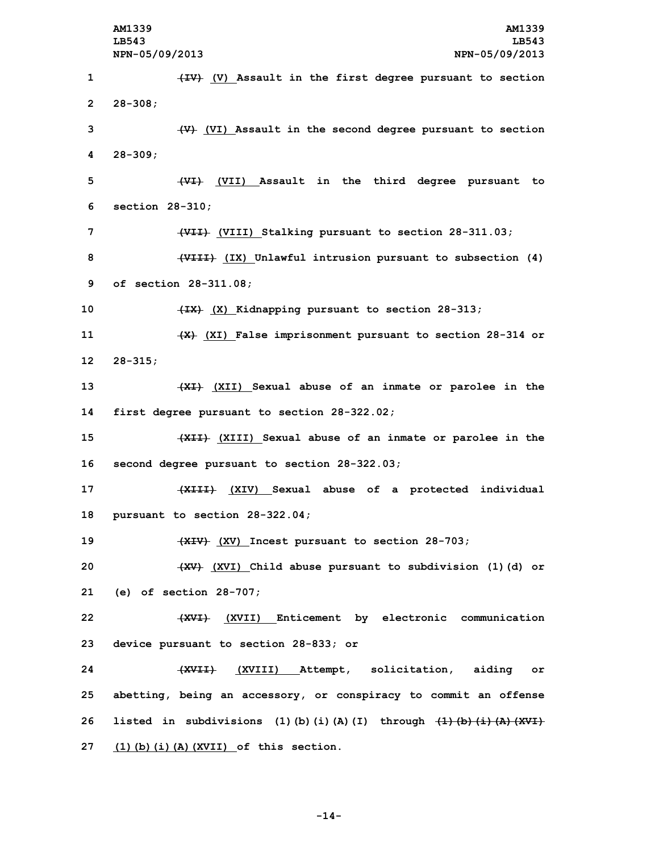**AM1339 AM1339 LB543 LB543 NPN-05/09/2013 NPN-05/09/2013 (IV) (V) Assault in the first degree pursuant to section 2 28-308; (V) (VI) Assault in the second degree pursuant to section 4 28-309; (VI) (VII) Assault in the third degree pursuant to section 28-310; (VII) (VIII) Stalking pursuant to section 28-311.03; (VIII) (IX) Unlawful intrusion pursuant to subsection (4) of section 28-311.08; (IX) (X) Kidnapping pursuant to section 28-313; (X) (XI) False imprisonment pursuant to section 28-314 or 12 28-315; (XI) (XII) Sexual abuse of an inmate or parolee in the first degree pursuant to section 28-322.02; (XII) (XIII) Sexual abuse of an inmate or parolee in the second degree pursuant to section 28-322.03; (XIII) (XIV) Sexual abuse of <sup>a</sup> protected individual pursuant to section 28-322.04; (XIV) (XV) Incest pursuant to section 28-703; (XV) (XVI) Child abuse pursuant to subdivision (1)(d) or (e) of section 28-707; (XVI) (XVII) Enticement by electronic communication device pursuant to section 28-833; or (XVII) (XVIII) Attempt, solicitation, aiding or abetting, being an accessory, or conspiracy to commit an offense listed in subdivisions (1)(b)(i)(A)(I) through (1)(b)(i)(A)(XVI) (1)(b)(i)(A)(XVII) of this section.**

**-14-**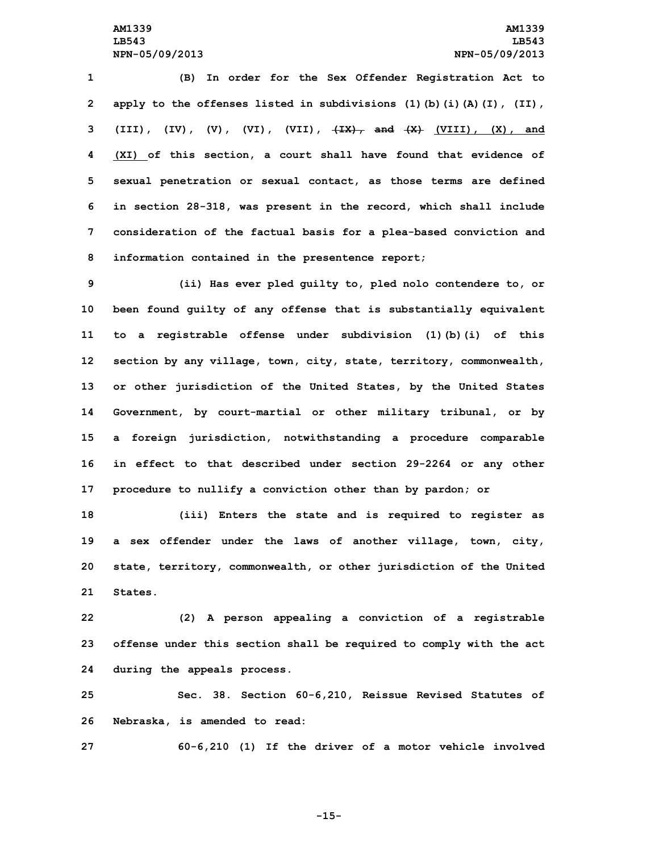**(B) In order for the Sex Offender Registration Act to apply to the offenses listed in subdivisions (1)(b)(i)(A)(I), (II), (III), (IV), (V), (VI), (VII), (IX), and (X) (VIII), (X), and (XI) of this section, <sup>a</sup> court shall have found that evidence of sexual penetration or sexual contact, as those terms are defined in section 28-318, was present in the record, which shall include consideration of the factual basis for <sup>a</sup> plea-based conviction and information contained in the presentence report;**

 **(ii) Has ever pled guilty to, pled nolo contendere to, or been found guilty of any offense that is substantially equivalent to <sup>a</sup> registrable offense under subdivision (1)(b)(i) of this section by any village, town, city, state, territory, commonwealth, or other jurisdiction of the United States, by the United States Government, by court-martial or other military tribunal, or by <sup>a</sup> foreign jurisdiction, notwithstanding <sup>a</sup> procedure comparable in effect to that described under section 29-2264 or any other procedure to nullify <sup>a</sup> conviction other than by pardon; or**

 **(iii) Enters the state and is required to register as <sup>a</sup> sex offender under the laws of another village, town, city, state, territory, commonwealth, or other jurisdiction of the United 21 States.**

**22 (2) <sup>A</sup> person appealing <sup>a</sup> conviction of <sup>a</sup> registrable 23 offense under this section shall be required to comply with the act 24 during the appeals process.**

**25 Sec. 38. Section 60-6,210, Reissue Revised Statutes of 26 Nebraska, is amended to read:**

**27 60-6,210 (1) If the driver of <sup>a</sup> motor vehicle involved**

**-15-**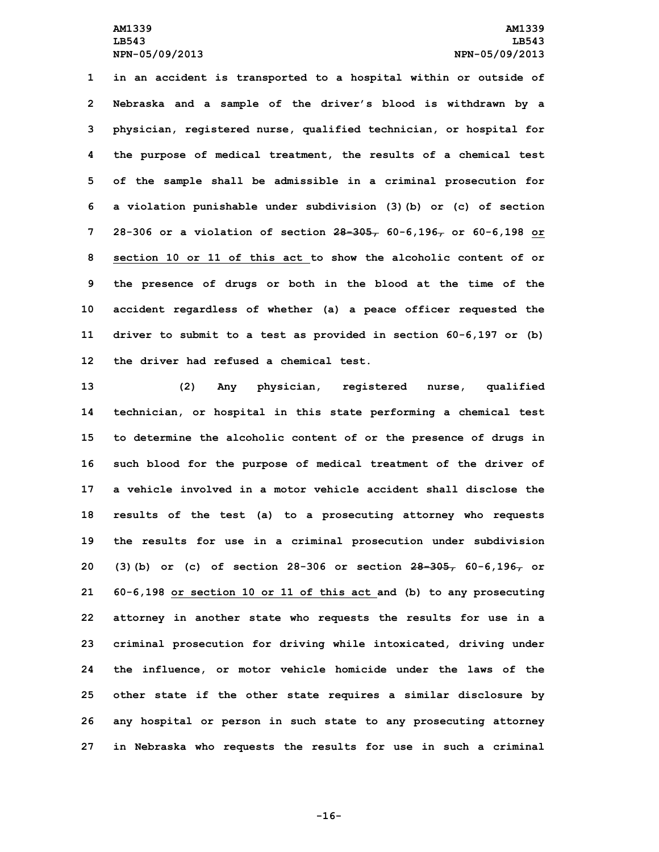**in an accident is transported to <sup>a</sup> hospital within or outside of Nebraska and <sup>a</sup> sample of the driver's blood is withdrawn by <sup>a</sup> physician, registered nurse, qualified technician, or hospital for the purpose of medical treatment, the results of <sup>a</sup> chemical test of the sample shall be admissible in <sup>a</sup> criminal prosecution for <sup>a</sup> violation punishable under subdivision (3)(b) or (c) of section 28-306 or <sup>a</sup> violation of section 28-305, 60-6,196, or 60-6,198 or section 10 or 11 of this act to show the alcoholic content of or the presence of drugs or both in the blood at the time of the accident regardless of whether (a) <sup>a</sup> peace officer requested the driver to submit to <sup>a</sup> test as provided in section 60-6,197 or (b) the driver had refused a chemical test.**

 **(2) Any physician, registered nurse, qualified technician, or hospital in this state performing <sup>a</sup> chemical test to determine the alcoholic content of or the presence of drugs in such blood for the purpose of medical treatment of the driver of a vehicle involved in a motor vehicle accident shall disclose the results of the test (a) to <sup>a</sup> prosecuting attorney who requests the results for use in <sup>a</sup> criminal prosecution under subdivision (3)(b) or (c) of section 28-306 or section 28-305, 60-6,196, or 60-6,198 or section 10 or 11 of this act and (b) to any prosecuting attorney in another state who requests the results for use in <sup>a</sup> criminal prosecution for driving while intoxicated, driving under the influence, or motor vehicle homicide under the laws of the other state if the other state requires <sup>a</sup> similar disclosure by any hospital or person in such state to any prosecuting attorney in Nebraska who requests the results for use in such <sup>a</sup> criminal**

**-16-**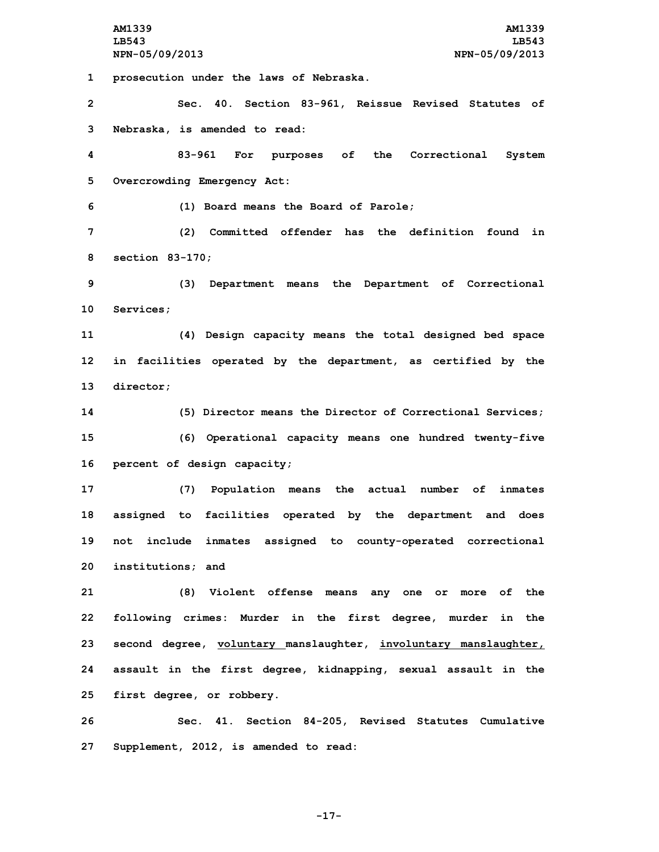**AM1339 AM1339 LB543 LB543 NPN-05/09/2013 NPN-05/09/2013 prosecution under the laws of Nebraska. Sec. 40. Section 83-961, Reissue Revised Statutes of Nebraska, is amended to read: 83-961 For purposes of the Correctional System Overcrowding Emergency Act: (1) Board means the Board of Parole; (2) Committed offender has the definition found in section 83-170; (3) Department means the Department of Correctional Services; (4) Design capacity means the total designed bed space in facilities operated by the department, as certified by the director; (5) Director means the Director of Correctional Services; (6) Operational capacity means one hundred twenty-five percent of design capacity; (7) Population means the actual number of inmates assigned to facilities operated by the department and does not include inmates assigned to county-operated correctional institutions; and (8) Violent offense means any one or more of the following crimes: Murder in the first degree, murder in the second degree, voluntary manslaughter, involuntary manslaughter, assault in the first degree, kidnapping, sexual assault in the first degree, or robbery. Sec. 41. Section 84-205, Revised Statutes Cumulative Supplement, 2012, is amended to read:**

**-17-**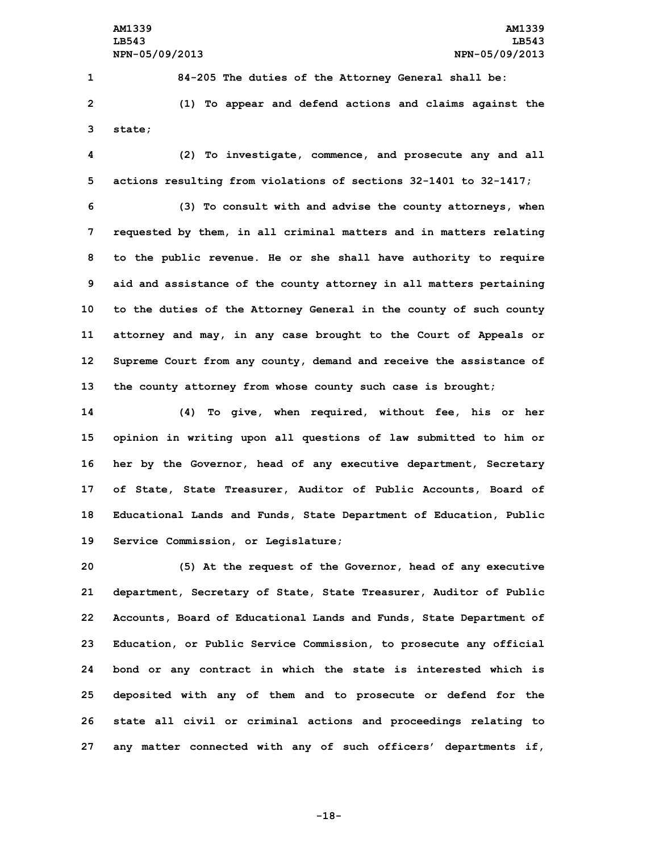**1 84-205 The duties of the Attorney General shall be: 2 (1) To appear and defend actions and claims against the 3 state;**

**4 (2) To investigate, commence, and prosecute any and all 5 actions resulting from violations of sections 32-1401 to 32-1417;**

 **(3) To consult with and advise the county attorneys, when requested by them, in all criminal matters and in matters relating to the public revenue. He or she shall have authority to require aid and assistance of the county attorney in all matters pertaining to the duties of the Attorney General in the county of such county attorney and may, in any case brought to the Court of Appeals or Supreme Court from any county, demand and receive the assistance of the county attorney from whose county such case is brought;**

 **(4) To give, when required, without fee, his or her opinion in writing upon all questions of law submitted to him or her by the Governor, head of any executive department, Secretary of State, State Treasurer, Auditor of Public Accounts, Board of Educational Lands and Funds, State Department of Education, Public Service Commission, or Legislature;**

 **(5) At the request of the Governor, head of any executive department, Secretary of State, State Treasurer, Auditor of Public Accounts, Board of Educational Lands and Funds, State Department of Education, or Public Service Commission, to prosecute any official bond or any contract in which the state is interested which is deposited with any of them and to prosecute or defend for the state all civil or criminal actions and proceedings relating to any matter connected with any of such officers' departments if,**

**-18-**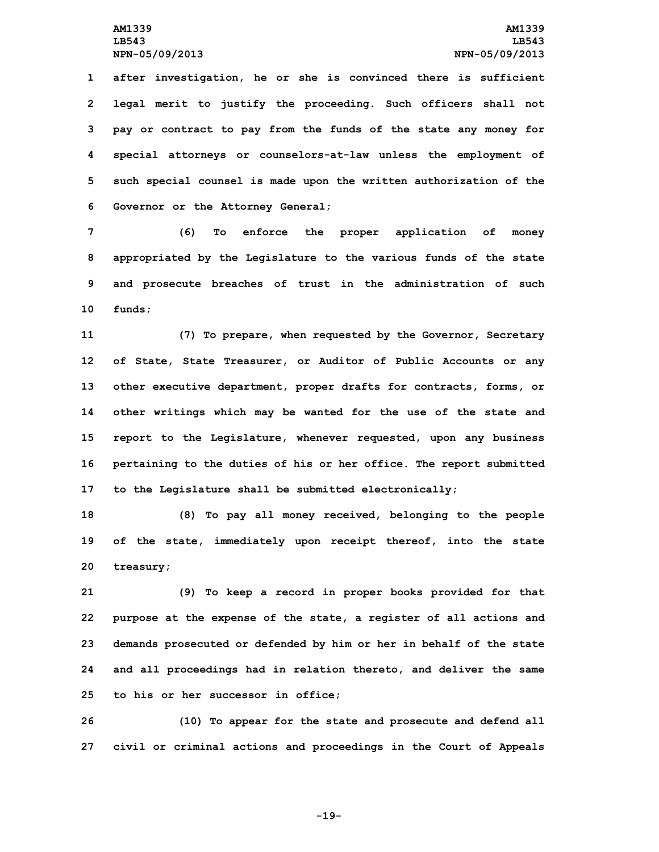**after investigation, he or she is convinced there is sufficient legal merit to justify the proceeding. Such officers shall not pay or contract to pay from the funds of the state any money for special attorneys or counselors-at-law unless the employment of such special counsel is made upon the written authorization of the Governor or the Attorney General;**

 **(6) To enforce the proper application of money appropriated by the Legislature to the various funds of the state and prosecute breaches of trust in the administration of such 10 funds;**

 **(7) To prepare, when requested by the Governor, Secretary of State, State Treasurer, or Auditor of Public Accounts or any other executive department, proper drafts for contracts, forms, or other writings which may be wanted for the use of the state and report to the Legislature, whenever requested, upon any business pertaining to the duties of his or her office. The report submitted to the Legislature shall be submitted electronically;**

**18 (8) To pay all money received, belonging to the people 19 of the state, immediately upon receipt thereof, into the state 20 treasury;**

 **(9) To keep <sup>a</sup> record in proper books provided for that purpose at the expense of the state, <sup>a</sup> register of all actions and demands prosecuted or defended by him or her in behalf of the state and all proceedings had in relation thereto, and deliver the same to his or her successor in office;**

**26 (10) To appear for the state and prosecute and defend all 27 civil or criminal actions and proceedings in the Court of Appeals**

**-19-**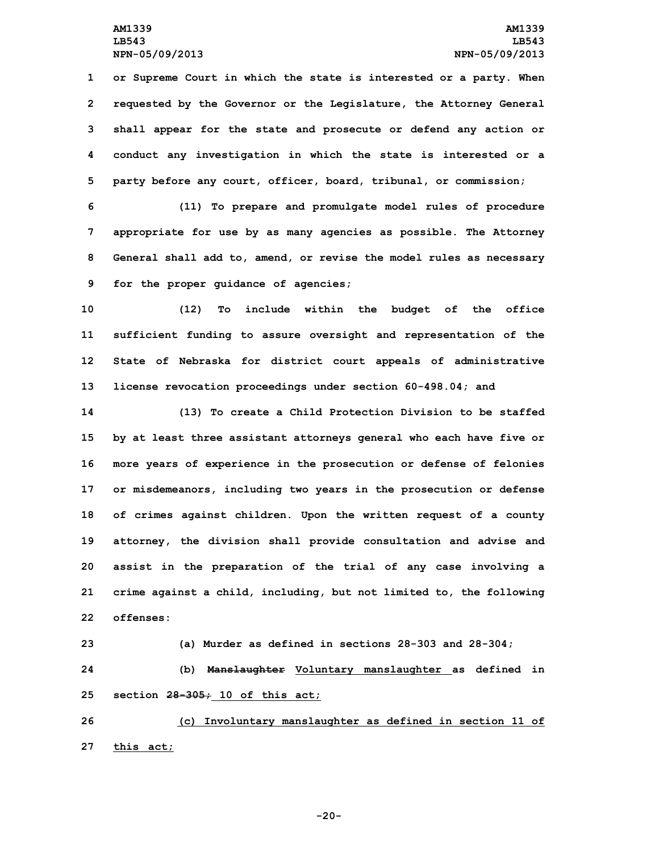**or Supreme Court in which the state is interested or <sup>a</sup> party. When requested by the Governor or the Legislature, the Attorney General shall appear for the state and prosecute or defend any action or conduct any investigation in which the state is interested or <sup>a</sup> party before any court, officer, board, tribunal, or commission;**

 **(11) To prepare and promulgate model rules of procedure appropriate for use by as many agencies as possible. The Attorney General shall add to, amend, or revise the model rules as necessary for the proper guidance of agencies;**

 **(12) To include within the budget of the office sufficient funding to assure oversight and representation of the State of Nebraska for district court appeals of administrative license revocation proceedings under section 60-498.04; and**

 **(13) To create <sup>a</sup> Child Protection Division to be staffed by at least three assistant attorneys general who each have five or more years of experience in the prosecution or defense of felonies or misdemeanors, including two years in the prosecution or defense of crimes against children. Upon the written request of <sup>a</sup> county attorney, the division shall provide consultation and advise and assist in the preparation of the trial of any case involving <sup>a</sup> crime against <sup>a</sup> child, including, but not limited to, the following offenses:**

**23 (a) Murder as defined in sections 28-303 and 28-304; 24 (b) Manslaughter Voluntary manslaughter as defined in 25 section 28-305; 10 of this act;**

**26 (c) Involuntary manslaughter as defined in section 11 of 27 this act;**

**-20-**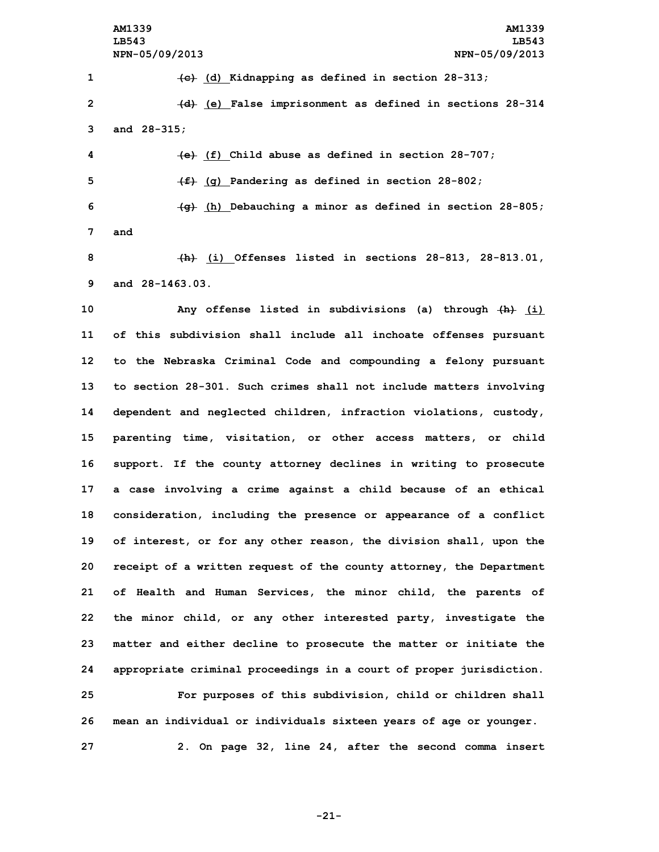**AM1339 AM1339 LB543 LB543 NPN-05/09/2013 NPN-05/09/2013**

**1 (c) (d) Kidnapping as defined in section 28-313; 2 (d) (e) False imprisonment as defined in sections 28-314 3 and 28-315;**

 **(e) (f) Child abuse as defined in section 28-707; (f) (g) Pandering as defined in section 28-802; (g) (h) Debauching <sup>a</sup> minor as defined in section 28-805; 7 and**

**8 (h) (i) Offenses listed in sections 28-813, 28-813.01, 9 and 28-1463.03.**

 **Any offense listed in subdivisions (a) through (h) (i) of this subdivision shall include all inchoate offenses pursuant to the Nebraska Criminal Code and compounding <sup>a</sup> felony pursuant to section 28-301. Such crimes shall not include matters involving dependent and neglected children, infraction violations, custody, parenting time, visitation, or other access matters, or child support. If the county attorney declines in writing to prosecute <sup>a</sup> case involving <sup>a</sup> crime against <sup>a</sup> child because of an ethical consideration, including the presence or appearance of <sup>a</sup> conflict of interest, or for any other reason, the division shall, upon the receipt of <sup>a</sup> written request of the county attorney, the Department of Health and Human Services, the minor child, the parents of the minor child, or any other interested party, investigate the matter and either decline to prosecute the matter or initiate the appropriate criminal proceedings in <sup>a</sup> court of proper jurisdiction. For purposes of this subdivision, child or children shall mean an individual or individuals sixteen years of age or younger.**

**27 2. On page 32, line 24, after the second comma insert**

**-21-**